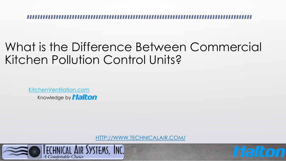#### What is the Difference Between Commercial Kitchen Pollution Control Units?

[KitchenVentilation.com](https://kitchenventilation.com/) Knowledge by **Halton** 

[HTTP://WWW.TECHNICALAIR.COM/](http://www.technicalair.com/)

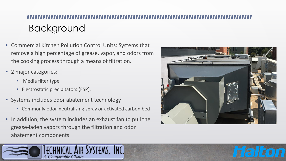# Background

- Commercial Kitchen Pollution Control Units: Systems that remove a high percentage of grease, vapor, and odors from the cooking process through a means of filtration.
- 2 major categories:
	- Media filter type
	- Electrostatic precipitators (ESP).
- Systems includes odor abatement technology
	- Commonly odor-neutralizing spray or activated carbon bed
- In addition, the system includes an exhaust fan to pull the grease-laden vapors through the filtration and odor abatement components



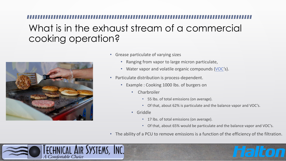### What is in the exhaust stream of a commercial cooking operation?



- Grease particulate of varying sizes
	- Ranging from vapor to large micron particulate,
	- Water vapor and volatile organic compounds [\(VOC](https://en.wikipedia.org/wiki/Volatile_organic_compound)'s).
- Particulate distribution is process-dependent.
	- Example : Cooking 1000 lbs. of burgers on
		- Charbroiler
			- 55 lbs. of total emissions (on average).
			- Of that, about 62% is particulate and the balance vapor and VOC's.
		- Griddle
			- 17 lbs. of total emissions (on average).
			- Of that, about 65% would be particulate and the balance vapor and VOC's.
- The ability of a PCU to remove emissions is a function of the efficiency of the filtration.

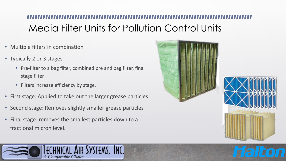## Media Filter Units for Pollution Control Units

- Multiple filters in combination
- Typically 2 or 3 stages
	- Pre-filter to a bag filter, combined pre and bag filter, final stage filter.
	- Filters increase efficiency by stage.
- First stage: Applied to take out the larger grease particles
- Second stage: Removes slightly smaller grease particles
- Final stage: removes the smallest particles down to a fractional micron level.





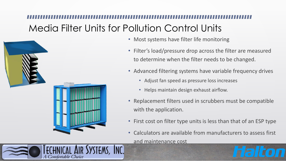## Media Filter Units for Pollution Control Units

TEMS, INC.



Comfortable Choice

- Most systems have filter life monitoring
- Filter's load/pressure drop across the filter are measured to determine when the filter needs to be changed.
- Advanced filtering systems have variable frequency drives
	- Adjust fan speed as pressure loss increases
	- Helps maintain design exhaust airflow.
- Replacement filters used in scrubbers must be compatible with the application.
- First cost on filter type units is less than that of an ESP type
- Calculators are available from manufacturers to assess first and maintenance cost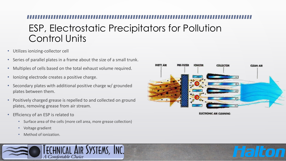### ESP, Electrostatic Precipitators for Pollution Control Units

- Utilizes ionizing-collector cell
- Series of parallel plates in a frame about the size of a small trunk.
- Multiples of cells based on the total exhaust volume required.
- Ionizing electrode creates a positive charge.
- Secondary plates with additional positive charge w/ grounded plates between them.
- Positively charged grease is repelled to and collected on ground plates, removing grease from air stream.
- Efficiency of an ESP is related to
	- Surface area of the cells (more cell area, more grease collection)
	- Voltage gradient
	- Method of ionization.





**ELECTRONIC AIR CLEANING**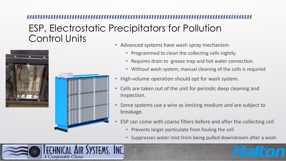#### ESP, Electrostatic Precipitators for Pollution Control Units





- Advanced systems have wash spray mechanism
	- Programmed to clean the collecting cells nightly.
	- Requires drain to grease trap and hot water connection.
	- Without wash system, manual cleaning of the cells is required
- High-volume operation should opt for wash system.
- Cells are taken out of the unit for periodic deep cleaning and inspection.
- Some systems use a wire as ionizing medium and are subject to breakage.
- ESP can come with coarse filters before and after the collecting cell
	- Prevents larger particulate from fouling the cell
	- Suppresses water mist from being pulled downstream after a wash

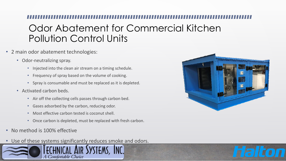### Odor Abatement for Commercial Kitchen Pollution Control Units

- 2 main odor abatement technologies:
	- Odor-neutralizing spray.
		- Injected into the clean air stream on a timing schedule.
		- Frequency of spray based on the volume of cooking.
		- Spray is consumable and must be replaced as it is depleted.
	- Activated carbon beds.
		- Air off the collecting cells passes through carbon bed.
		- Gases adsorbed by the carbon, reducing odor.
		- Most effective carbon tested is coconut shell.
		- Once carbon is depleted, must be replaced with fresh carbon.
- No method is 100% effective
- Use of these systems significantly reduces smoke and odors.